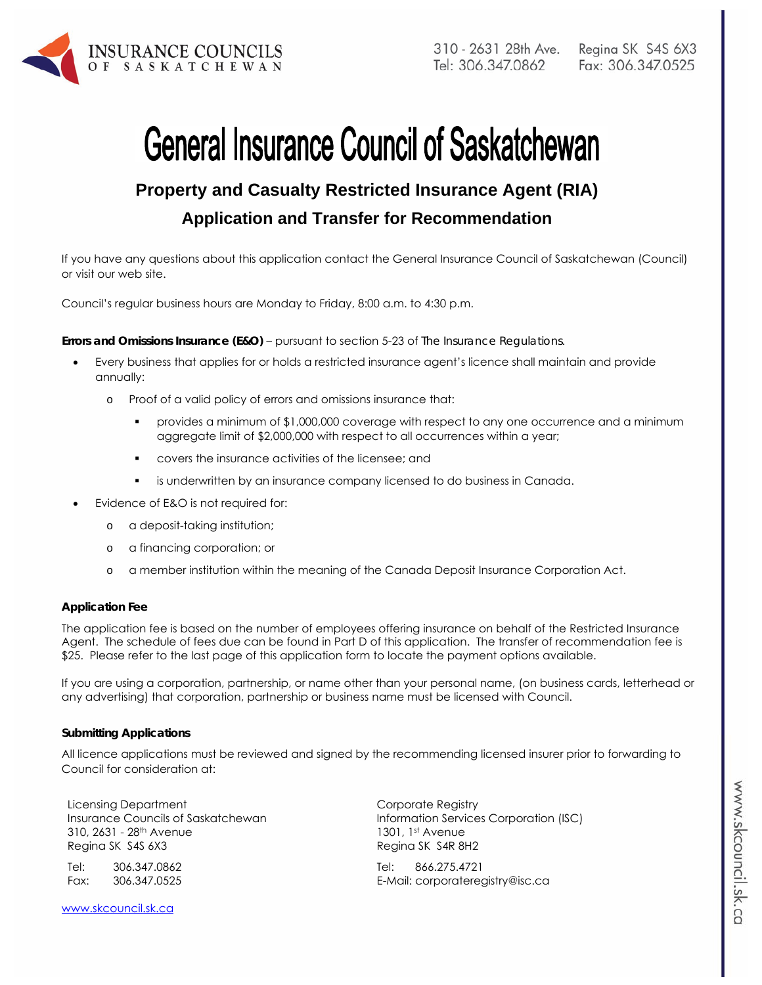

# **General Insurance Council of Saskatchewan**

# **Property and Casualty Restricted Insurance Agent (RIA)**

# **Application and Transfer for Recommendation**

If you have any questions about this application contact the General Insurance Council of Saskatchewan (Council) or visit our web site.

Council's regular business hours are Monday to Friday, 8:00 a.m. to 4:30 p.m.

#### **Errors and Omissions Insurance (E&O)** – pursuant to section 5-23 of *The Insurance Regulations*.

- Every business that applies for or holds a restricted insurance agent's licence shall maintain and provide annually:
	- o Proof of a valid policy of errors and omissions insurance that:
		- provides a minimum of \$1,000,000 coverage with respect to any one occurrence and a minimum aggregate limit of \$2,000,000 with respect to all occurrences within a year;
		- covers the insurance activities of the licensee; and
		- is underwritten by an insurance company licensed to do business in Canada.
- Evidence of E&O is not required for:
	- o a deposit-taking institution;
	- o a financing corporation; or
	- o a member institution within the meaning of the Canada Deposit Insurance Corporation Act.

#### **Application Fee**

The application fee is based on the number of employees offering insurance on behalf of the Restricted Insurance Agent. The schedule of fees due can be found in Part D of this application. The transfer of recommendation fee is \$25. Please refer to the last page of this application form to locate the payment options available.

If you are using a corporation, partnership, or name other than your personal name, (on business cards, letterhead or any advertising) that corporation, partnership or business name must be licensed with Council.

#### **Submitting Applications**

All licence applications must be reviewed and signed by the recommending licensed insurer prior to forwarding to Council for consideration at:

Licensing Department Insurance Councils of Saskatchewan 310, 2631 - 28<sup>th</sup> Avenue Regina SK S4S 6X3

Tel: 306.347.0862 Fax: 306.347.0525

www.skcouncil.sk.ca

Corporate Registry Information Services Corporation (ISC) 1301, 1st Avenue Regina SK S4R 8H2

Tel: 866.275.4721 E-Mail: corporateregistry@isc.ca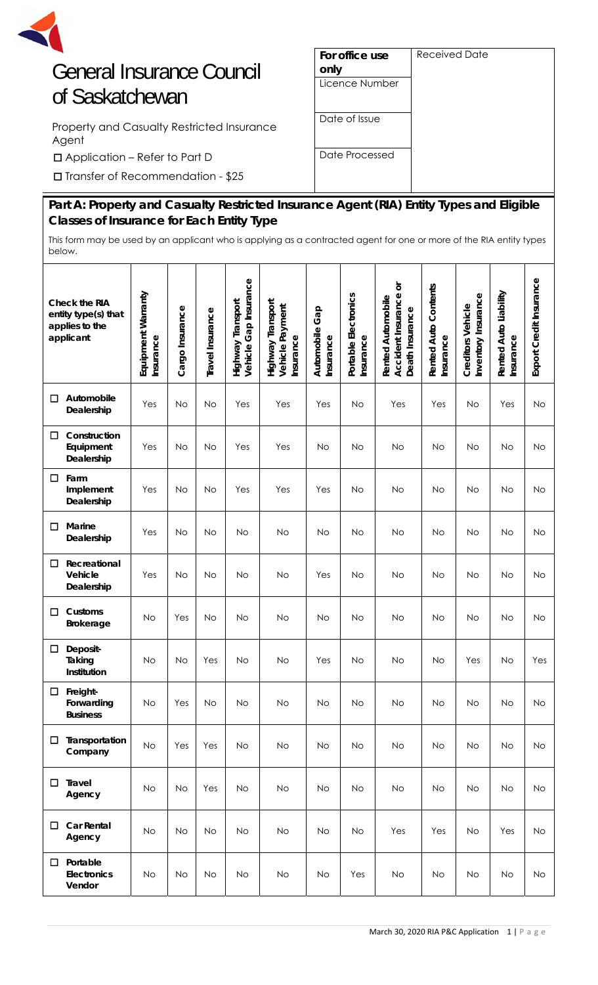

# General Insurance Council of Saskatchewan

Property and Casualty Restricted Insurance Agent

□Application – Refer to Part D

□Transfer of Recommendation - \$25

| For office use | Received Date |
|----------------|---------------|
| only           |               |
| Licence Number |               |
|                |               |
| Date of Issue  |               |
|                |               |
| Date Processed |               |
|                |               |
|                |               |

# **Part A: Property and Casualty Restricted Insurance Agent (RIA) Entity Types and Eligible Classes of Insurance for Each Entity Type**

This form may be used by an applicant who is applying as a contracted agent for one or more of the RIA entity types below.

|   | Check the RIA<br>entity type(s) that<br>applies to the<br>applicant | Equipment Warranty<br>Insurance | Cargo Insurance | Travel Insurance | Vehicle Gap Insurance<br>Highway Transport | Highway Transport<br>Vehicle Payment<br>Insurance | Automobile Gap<br>Insurance | Portable Electronics<br>Insurance | ŏ<br>Accident Insurance<br><b>Rented Automobile</b><br>Death Insurance | Rented Auto Contents<br>Insurance | Inventory Insurance<br>Creditors Vehicle | Rented Auto Liability<br>Insurance | Export Credit Insurance |
|---|---------------------------------------------------------------------|---------------------------------|-----------------|------------------|--------------------------------------------|---------------------------------------------------|-----------------------------|-----------------------------------|------------------------------------------------------------------------|-----------------------------------|------------------------------------------|------------------------------------|-------------------------|
| □ | Automobile<br>Dealership                                            | Yes                             | <b>No</b>       | No               | Yes                                        | Yes                                               | Yes                         | <b>No</b>                         | Yes                                                                    | Yes                               | <b>No</b>                                | Yes                                | No                      |
| □ | Construction<br>Equipment<br>Dealership                             | Yes                             | <b>No</b>       | No               | Yes                                        | Yes                                               | No                          | <b>No</b>                         | No                                                                     | No                                | No                                       | No                                 | No                      |
| □ | Farm<br>Implement<br>Dealership                                     | Yes                             | <b>No</b>       | <b>No</b>        | Yes                                        | Yes                                               | Yes                         | <b>No</b>                         | No                                                                     | No                                | <b>No</b>                                | No                                 | No                      |
| □ | Marine<br>Dealership                                                | Yes                             | No              | No               | <b>No</b>                                  | No                                                | No                          | <b>No</b>                         | No                                                                     | No                                | No                                       | No                                 | No                      |
| □ | Recreational<br>Vehicle<br>Dealership                               | Yes                             | <b>No</b>       | <b>No</b>        | <b>No</b>                                  | <b>No</b>                                         | Yes                         | <b>No</b>                         | No                                                                     | <b>No</b>                         | No                                       | <b>No</b>                          | No                      |
| □ | Customs<br><b>Brokerage</b>                                         | No                              | Yes             | No               | No                                         | No                                                | <b>No</b>                   | <b>No</b>                         | No                                                                     | No                                | <b>No</b>                                | No                                 | No                      |
| □ | Deposit-<br>Taking<br>Institution                                   | No                              | <b>No</b>       | Yes              | <b>No</b>                                  | <b>No</b>                                         | Yes                         | No                                | No                                                                     | No                                | Yes                                      | <b>No</b>                          | Yes                     |
| □ | Freight-<br>Forwarding<br><b>Business</b>                           | No                              | Yes             | N0               | No                                         | Νo                                                | N0                          | N0                                | N0                                                                     | N0                                | NO.                                      | N0                                 | N0                      |
| □ | Transportation<br>Company                                           | <b>No</b>                       | Yes             | Yes              | <b>No</b>                                  | <b>No</b>                                         | <b>No</b>                   | No                                | <b>No</b>                                                              | <b>No</b>                         | <b>No</b>                                | <b>No</b>                          | <b>No</b>               |
| □ | <b>Travel</b><br>Agency                                             | No                              | <b>No</b>       | Yes              | <b>No</b>                                  | No                                                | <b>No</b>                   | <b>No</b>                         | <b>No</b>                                                              | <b>No</b>                         | <b>No</b>                                | <b>No</b>                          | No                      |
| □ | <b>Car Rental</b><br>Agency                                         | No                              | No              | <b>No</b>        | <b>No</b>                                  | No                                                | <b>No</b>                   | <b>No</b>                         | Yes                                                                    | Yes                               | <b>No</b>                                | Yes                                | <b>No</b>               |
| □ | Portable<br>Electronics<br>Vendor                                   | No                              | No              | No               | <b>No</b>                                  | <b>No</b>                                         | <b>No</b>                   | Yes                               | No                                                                     | No                                | <b>No</b>                                | No                                 | No                      |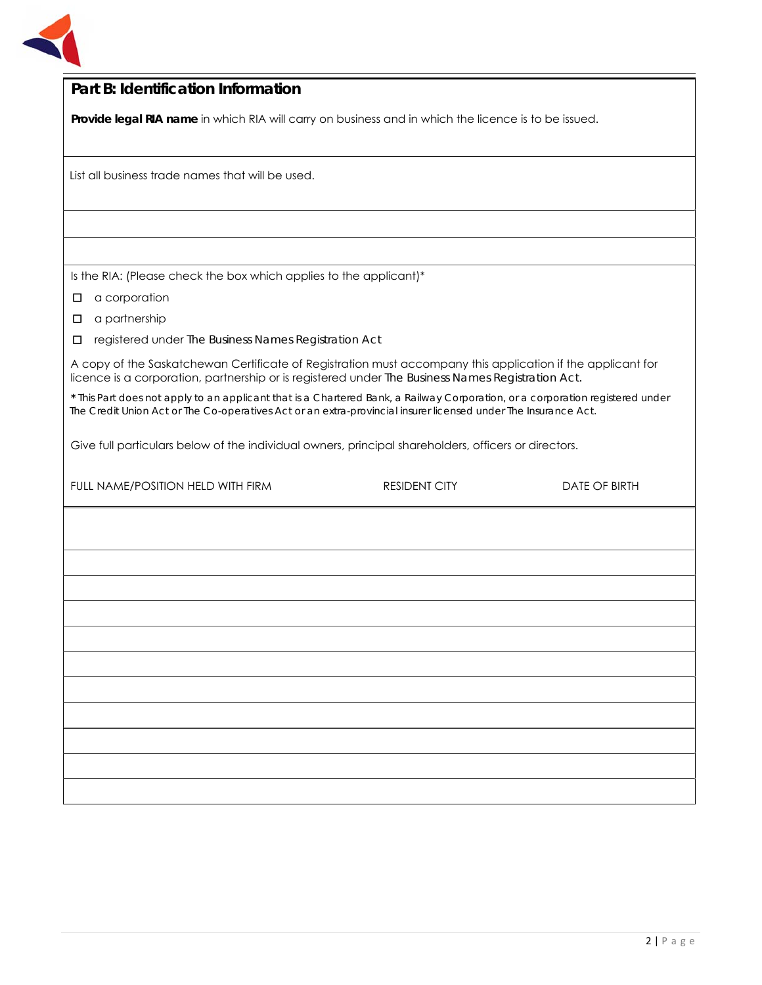

| Part B: Identification Information                                                                                                                                                                               |                                                                                                                                                                                                                                                 |                      |  |  |  |
|------------------------------------------------------------------------------------------------------------------------------------------------------------------------------------------------------------------|-------------------------------------------------------------------------------------------------------------------------------------------------------------------------------------------------------------------------------------------------|----------------------|--|--|--|
| Provide legal RIA name in which RIA will carry on business and in which the licence is to be issued.                                                                                                             |                                                                                                                                                                                                                                                 |                      |  |  |  |
|                                                                                                                                                                                                                  |                                                                                                                                                                                                                                                 |                      |  |  |  |
| List all business trade names that will be used.                                                                                                                                                                 |                                                                                                                                                                                                                                                 |                      |  |  |  |
|                                                                                                                                                                                                                  |                                                                                                                                                                                                                                                 |                      |  |  |  |
|                                                                                                                                                                                                                  |                                                                                                                                                                                                                                                 |                      |  |  |  |
| Is the RIA: (Please check the box which applies to the applicant)*                                                                                                                                               |                                                                                                                                                                                                                                                 |                      |  |  |  |
| a corporation<br>□                                                                                                                                                                                               |                                                                                                                                                                                                                                                 |                      |  |  |  |
| a partnership<br>□                                                                                                                                                                                               |                                                                                                                                                                                                                                                 |                      |  |  |  |
| registered under The Business Names Registration Act<br>□                                                                                                                                                        |                                                                                                                                                                                                                                                 |                      |  |  |  |
| A copy of the Saskatchewan Certificate of Registration must accompany this application if the applicant for<br>licence is a corporation, partnership or is registered under The Business Names Registration Act. |                                                                                                                                                                                                                                                 |                      |  |  |  |
|                                                                                                                                                                                                                  | * This Part does not apply to an applicant that is a Chartered Bank, a Railway Corporation, or a corporation registered under<br>The Credit Union Act or The Co-operatives Act or an extra-provincial insurer licensed under The Insurance Act. |                      |  |  |  |
| Give full particulars below of the individual owners, principal shareholders, officers or directors.                                                                                                             |                                                                                                                                                                                                                                                 |                      |  |  |  |
| FULL NAME/POSITION HELD WITH FIRM                                                                                                                                                                                | <b>RESIDENT CITY</b>                                                                                                                                                                                                                            | <b>DATE OF BIRTH</b> |  |  |  |
|                                                                                                                                                                                                                  |                                                                                                                                                                                                                                                 |                      |  |  |  |
|                                                                                                                                                                                                                  |                                                                                                                                                                                                                                                 |                      |  |  |  |
|                                                                                                                                                                                                                  |                                                                                                                                                                                                                                                 |                      |  |  |  |
|                                                                                                                                                                                                                  |                                                                                                                                                                                                                                                 |                      |  |  |  |
|                                                                                                                                                                                                                  |                                                                                                                                                                                                                                                 |                      |  |  |  |
|                                                                                                                                                                                                                  |                                                                                                                                                                                                                                                 |                      |  |  |  |
|                                                                                                                                                                                                                  |                                                                                                                                                                                                                                                 |                      |  |  |  |
|                                                                                                                                                                                                                  |                                                                                                                                                                                                                                                 |                      |  |  |  |
|                                                                                                                                                                                                                  |                                                                                                                                                                                                                                                 |                      |  |  |  |
|                                                                                                                                                                                                                  |                                                                                                                                                                                                                                                 |                      |  |  |  |
|                                                                                                                                                                                                                  |                                                                                                                                                                                                                                                 |                      |  |  |  |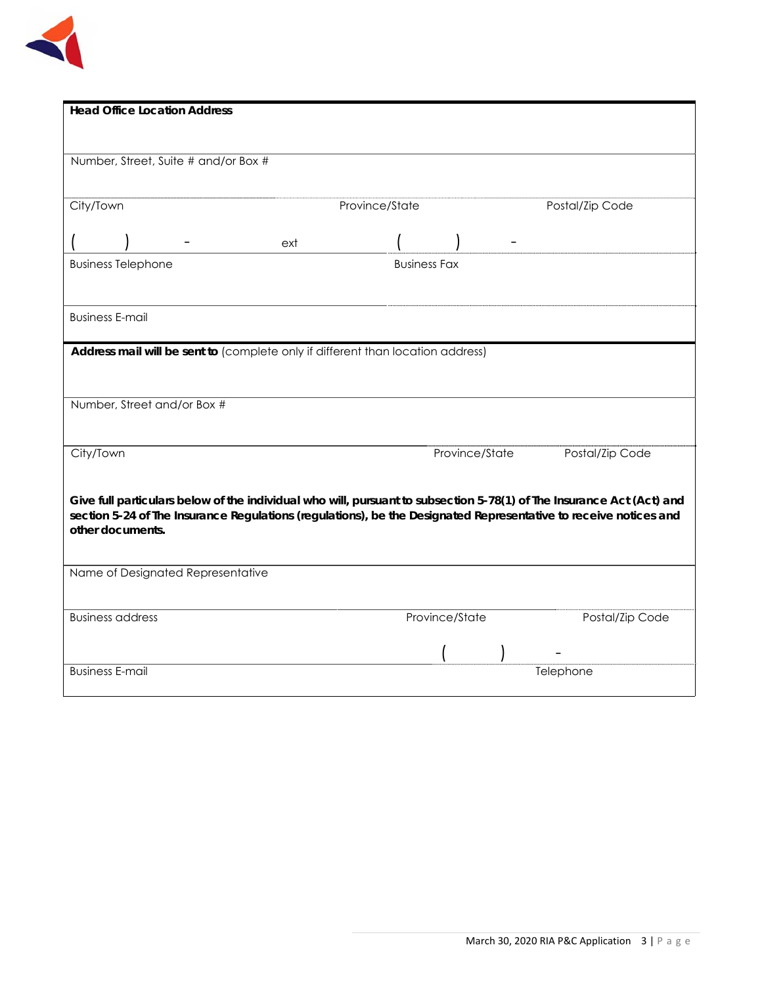

| <b>Head Office Location Address</b>                                                                                                  |                |                     |                 |
|--------------------------------------------------------------------------------------------------------------------------------------|----------------|---------------------|-----------------|
|                                                                                                                                      |                |                     |                 |
| Number, Street, Suite # and/or Box #                                                                                                 |                |                     |                 |
|                                                                                                                                      |                |                     |                 |
| City/Town                                                                                                                            | Province/State |                     | Postal/Zip Code |
|                                                                                                                                      | ext            |                     |                 |
| <b>Business Telephone</b>                                                                                                            |                | <b>Business Fax</b> |                 |
|                                                                                                                                      |                |                     |                 |
| <b>Business E-mail</b>                                                                                                               |                |                     |                 |
| Address mail will be sent to (complete only if different than location address)                                                      |                |                     |                 |
|                                                                                                                                      |                |                     |                 |
|                                                                                                                                      |                |                     |                 |
| Number, Street and/or Box #                                                                                                          |                |                     |                 |
| City/Town                                                                                                                            |                | Province/State      | Postal/Zip Code |
|                                                                                                                                      |                |                     |                 |
| Give full particulars below of the individual who will, pursuant to subsection 5-78(1) of The Insurance Act (Act) and                |                |                     |                 |
| section 5-24 of The Insurance Regulations (regulations), be the Designated Representative to receive notices and<br>other documents. |                |                     |                 |
|                                                                                                                                      |                |                     |                 |
| Name of Designated Representative                                                                                                    |                |                     |                 |
|                                                                                                                                      |                |                     |                 |
| <b>Business address</b>                                                                                                              |                | Province/State      | Postal/Zip Code |
|                                                                                                                                      |                |                     |                 |
| <b>Business E-mail</b>                                                                                                               |                |                     | Telephone       |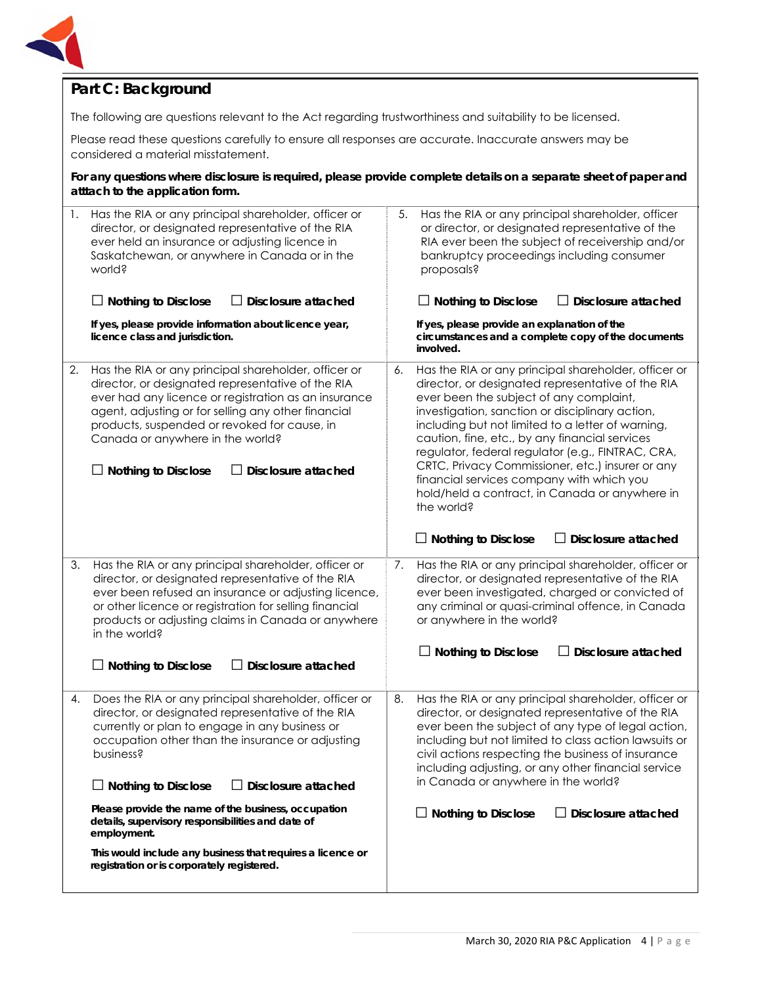

#### **Part C: Background**

The following are questions relevant to the Act regarding trustworthiness and suitability to be licensed.

Please read these questions carefully to ensure all responses are accurate. Inaccurate answers may be considered a material misstatement.

**For any questions where disclosure is required, please provide complete details on a separate sheet of paper and atttach to the application form.** 

| 1. | Has the RIA or any principal shareholder, officer or<br>director, or designated representative of the RIA<br>ever held an insurance or adjusting licence in<br>Saskatchewan, or anywhere in Canada or in the<br>world?<br>Disclosure attached<br>$\Box$ Nothing to Disclose<br>If yes, please provide information about licence year,                             | Has the RIA or any principal shareholder, officer<br>5.<br>or director, or designated representative of the<br>RIA ever been the subject of receivership and/or<br>bankruptcy proceedings including consumer<br>proposals?<br>$\Box$ Nothing to Disclose<br>$\Box$ Disclosure attached<br>If yes, please provide an explanation of the                                                                                                                                                                                                     |
|----|-------------------------------------------------------------------------------------------------------------------------------------------------------------------------------------------------------------------------------------------------------------------------------------------------------------------------------------------------------------------|--------------------------------------------------------------------------------------------------------------------------------------------------------------------------------------------------------------------------------------------------------------------------------------------------------------------------------------------------------------------------------------------------------------------------------------------------------------------------------------------------------------------------------------------|
|    | licence class and jurisdiction.                                                                                                                                                                                                                                                                                                                                   | circumstances and a complete copy of the documents<br>involved.                                                                                                                                                                                                                                                                                                                                                                                                                                                                            |
| 2. | Has the RIA or any principal shareholder, officer or<br>director, or designated representative of the RIA<br>ever had any licence or registration as an insurance<br>agent, adjusting or for selling any other financial<br>products, suspended or revoked for cause, in<br>Canada or anywhere in the world?<br>$\Box$ Nothing to Disclose<br>Disclosure attached | Has the RIA or any principal shareholder, officer or<br>6.<br>director, or designated representative of the RIA<br>ever been the subject of any complaint,<br>investigation, sanction or disciplinary action,<br>including but not limited to a letter of warning,<br>caution, fine, etc., by any financial services<br>regulator, federal regulator (e.g., FINTRAC, CRA,<br>CRTC, Privacy Commissioner, etc.) insurer or any<br>financial services company with which you<br>hold/held a contract, in Canada or anywhere in<br>the world? |
|    |                                                                                                                                                                                                                                                                                                                                                                   | Disclosure attached<br>$\Box$ Nothing to Disclose                                                                                                                                                                                                                                                                                                                                                                                                                                                                                          |
| 3. | Has the RIA or any principal shareholder, officer or<br>director, or designated representative of the RIA<br>ever been refused an insurance or adjusting licence,<br>or other licence or registration for selling financial<br>products or adjusting claims in Canada or anywhere<br>in the world?                                                                | Has the RIA or any principal shareholder, officer or<br>7.<br>director, or designated representative of the RIA<br>ever been investigated, charged or convicted of<br>any criminal or quasi-criminal offence, in Canada<br>or anywhere in the world?                                                                                                                                                                                                                                                                                       |
|    | <b>Disclosure attached</b><br>$\Box$ Nothing to Disclose                                                                                                                                                                                                                                                                                                          | Nothing to Disclose<br>Disclosure attached                                                                                                                                                                                                                                                                                                                                                                                                                                                                                                 |
| 4. | Does the RIA or any principal shareholder, officer or<br>director, or designated representative of the RIA<br>currently or plan to engage in any business or<br>occupation other than the insurance or adjusting<br>business?<br>$\Box$ Nothing to Disclose<br>$\Box$ Disclosure attached                                                                         | Has the RIA or any principal shareholder, officer or<br>8.<br>director, or designated representative of the RIA<br>ever been the subject of any type of legal action,<br>including but not limited to class action lawsuits or<br>civil actions respecting the business of insurance<br>including adjusting, or any other financial service<br>in Canada or anywhere in the world?                                                                                                                                                         |
|    | Please provide the name of the business, occupation<br>details, supervisory responsibilities and date of<br>employment.                                                                                                                                                                                                                                           | $\Box$ Nothing to Disclose<br>Disclosure attached                                                                                                                                                                                                                                                                                                                                                                                                                                                                                          |
|    | This would include any business that requires a licence or<br>registration or is corporately registered.                                                                                                                                                                                                                                                          |                                                                                                                                                                                                                                                                                                                                                                                                                                                                                                                                            |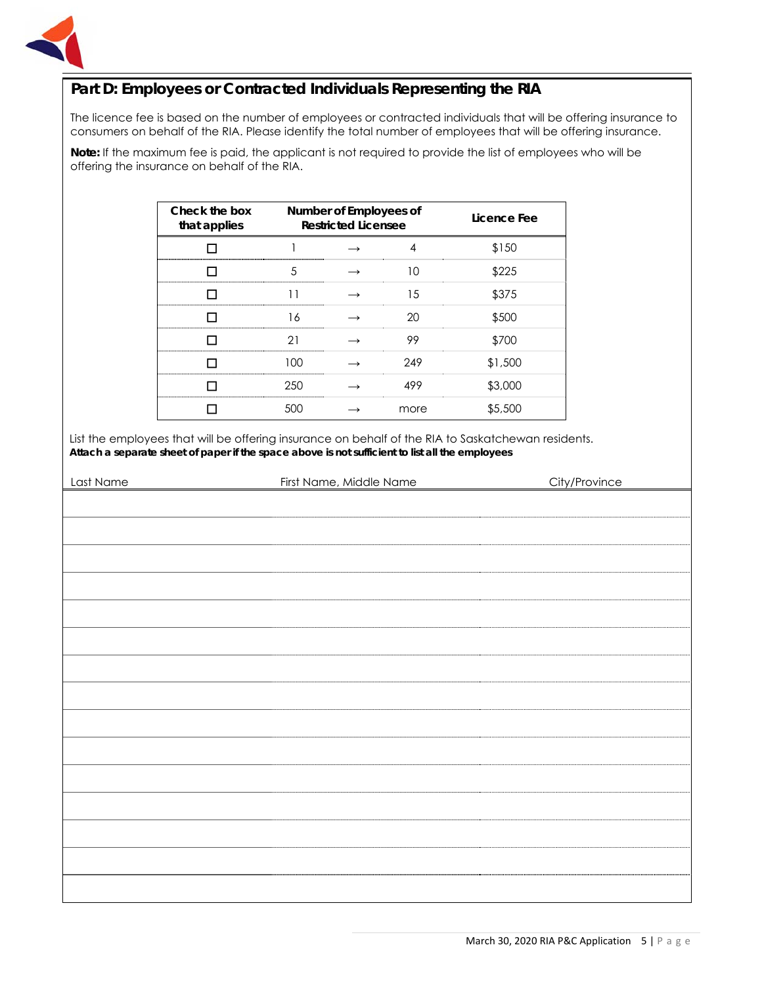

#### **Part D: Employees or Contracted Individuals Representing the RIA**

The licence fee is based on the number of employees or contracted individuals that will be offering insurance to consumers on behalf of the RIA. Please identify the total number of employees that will be offering insurance.

**Note:** If the maximum fee is paid, the applicant is not required to provide the list of employees who will be offering the insurance on behalf of the RIA.

| Check the box<br>that applies | Number of Employees of<br><b>Restricted Licensee</b> |  |      | Licence Fee |
|-------------------------------|------------------------------------------------------|--|------|-------------|
|                               |                                                      |  |      | \$150       |
|                               | 5                                                    |  | 10   | \$225       |
|                               |                                                      |  | 15   | \$375       |
|                               | 16                                                   |  | 20   | \$500       |
|                               | 21                                                   |  | 99   | \$700       |
|                               | 100                                                  |  | 249  | \$1,500     |
|                               | 250                                                  |  | 499  | \$3,000     |
|                               | 500                                                  |  | more | \$5,500     |

List the employees that will be offering insurance on behalf of the RIA to Saskatchewan residents. **Attach a separate sheet of paper if the space above is not sufficient to list all the employees**

| Last Name | First Name, Middle Name | City/Province |
|-----------|-------------------------|---------------|
|           |                         |               |
|           |                         |               |
|           |                         |               |
|           |                         |               |
|           |                         |               |
|           |                         |               |
|           |                         |               |
|           |                         |               |
|           |                         |               |
|           |                         |               |
|           |                         |               |
|           |                         |               |
|           |                         |               |
|           |                         |               |
|           |                         |               |
|           |                         |               |
|           |                         |               |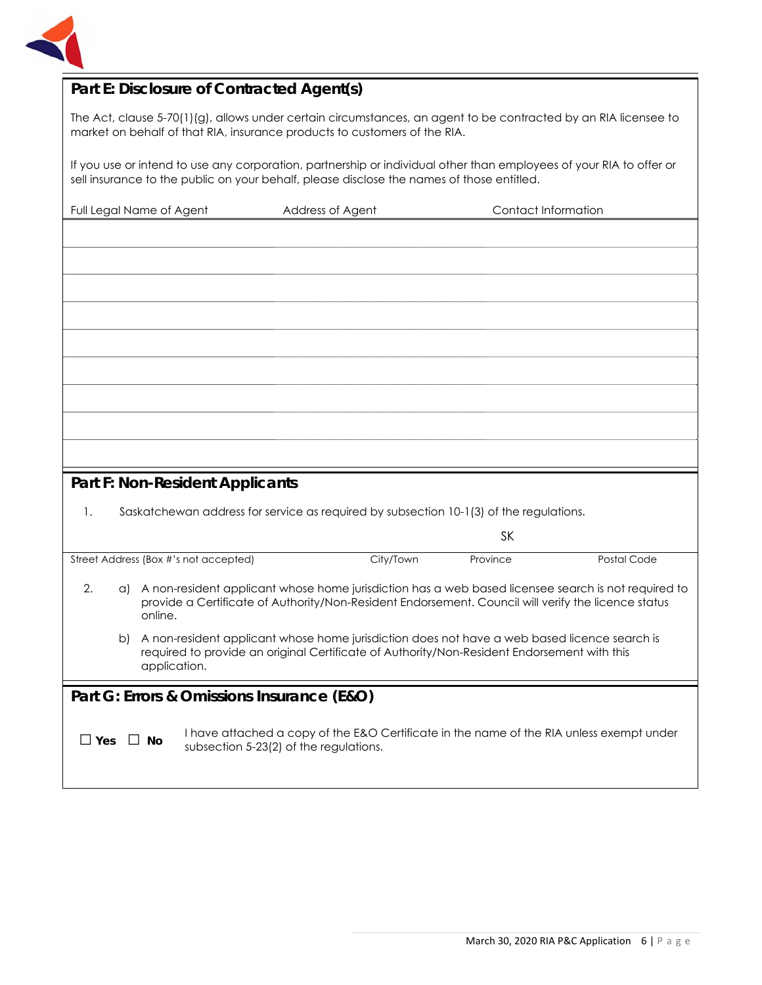

#### **Part E: Disclosure of Contracted Agent(s)**

The Act, clause 5-70(1)(g), allows under certain circumstances, an agent to be contracted by an RIA licensee to market on behalf of that RIA, insurance products to customers of the RIA.

If you use or intend to use any corporation, partnership or individual other than employees of your RIA to offer or sell insurance to the public on your behalf, please disclose the names of those entitled.

| Full Legal Name of Agent              | Address of Agent                                                                                    | Contact Information |             |
|---------------------------------------|-----------------------------------------------------------------------------------------------------|---------------------|-------------|
|                                       |                                                                                                     |                     |             |
|                                       |                                                                                                     |                     |             |
|                                       |                                                                                                     |                     |             |
|                                       |                                                                                                     |                     |             |
|                                       |                                                                                                     |                     |             |
|                                       |                                                                                                     |                     |             |
|                                       |                                                                                                     |                     |             |
|                                       |                                                                                                     |                     |             |
|                                       |                                                                                                     |                     |             |
|                                       |                                                                                                     |                     |             |
|                                       |                                                                                                     |                     |             |
|                                       |                                                                                                     |                     |             |
|                                       |                                                                                                     |                     |             |
|                                       |                                                                                                     |                     |             |
|                                       |                                                                                                     |                     |             |
| Part F: Non-Resident Applicants       |                                                                                                     |                     |             |
|                                       |                                                                                                     |                     |             |
| 1.                                    | Saskatchewan address for service as required by subsection 10-1(3) of the regulations.              |                     |             |
|                                       |                                                                                                     |                     |             |
|                                       |                                                                                                     | <b>SK</b>           |             |
| Street Address (Box #'s not accepted) | City/Town                                                                                           | Province            | Postal Code |
|                                       |                                                                                                     |                     |             |
| 2.<br>a)                              | A non-resident applicant whose home jurisdiction has a web based licensee search is not required to |                     |             |
| online.                               | provide a Certificate of Authority/Non-Resident Endorsement. Council will verify the licence status |                     |             |

b) A non-resident applicant whose home jurisdiction does not have a web based licence search is required to provide an original Certificate of Authority/Non-Resident Endorsement with this application.

#### **Part G: Errors & Omissions Insurance (E&O)**

□ **Yes** □ **No** I have attached a copy of the E&O Certificate in the name of the RIA unless exempt under subsection 5-23(2) of the regulations.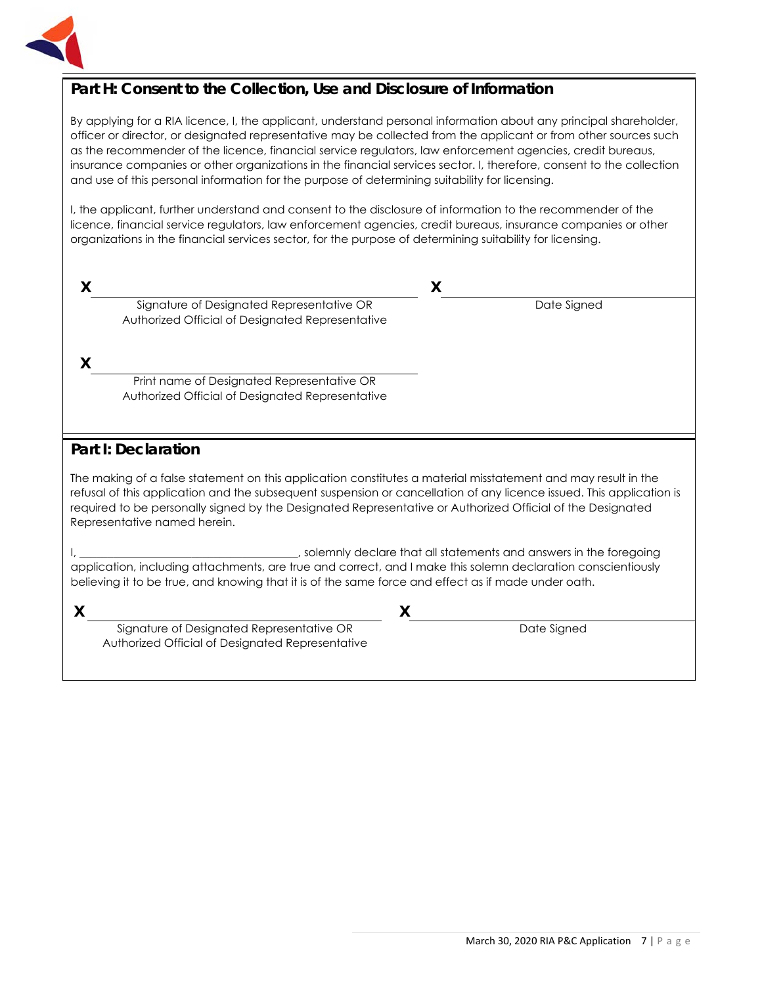

#### **Part H: Consent to the Collection, Use and Disclosure of Information**

By applying for a RIA licence, I, the applicant, understand personal information about any principal shareholder, officer or director, or designated representative may be collected from the applicant or from other sources such as the recommender of the licence, financial service regulators, law enforcement agencies, credit bureaus, insurance companies or other organizations in the financial services sector. I, therefore, consent to the collection and use of this personal information for the purpose of determining suitability for licensing.

I, the applicant, further understand and consent to the disclosure of information to the recommender of the licence, financial service regulators, law enforcement agencies, credit bureaus, insurance companies or other organizations in the financial services sector, for the purpose of determining suitability for licensing.

| Signature of Designated Representative OR<br>Authorized Official of Designated Representative                                                                                                                                                                                                                                                                                       | Date Signed                                                       |
|-------------------------------------------------------------------------------------------------------------------------------------------------------------------------------------------------------------------------------------------------------------------------------------------------------------------------------------------------------------------------------------|-------------------------------------------------------------------|
| X<br>Print name of Designated Representative OR<br>Authorized Official of Designated Representative                                                                                                                                                                                                                                                                                 |                                                                   |
| <b>Part I: Declaration</b>                                                                                                                                                                                                                                                                                                                                                          |                                                                   |
| The making of a false statement on this application constitutes a material misstatement and may result in the<br>refusal of this application and the subsequent suspension or cancellation of any licence issued. This application is<br>required to be personally signed by the Designated Representative or Authorized Official of the Designated<br>Representative named herein. |                                                                   |
| application, including attachments, are true and correct, and I make this solemn declaration conscientiously<br>believing it to be true, and knowing that it is of the same force and effect as if made under oath.                                                                                                                                                                 | solemnly declare that all statements and answers in the foregoing |
|                                                                                                                                                                                                                                                                                                                                                                                     |                                                                   |

Signature of Designated Representative OR Authorized Official of Designated Representative

Date Signed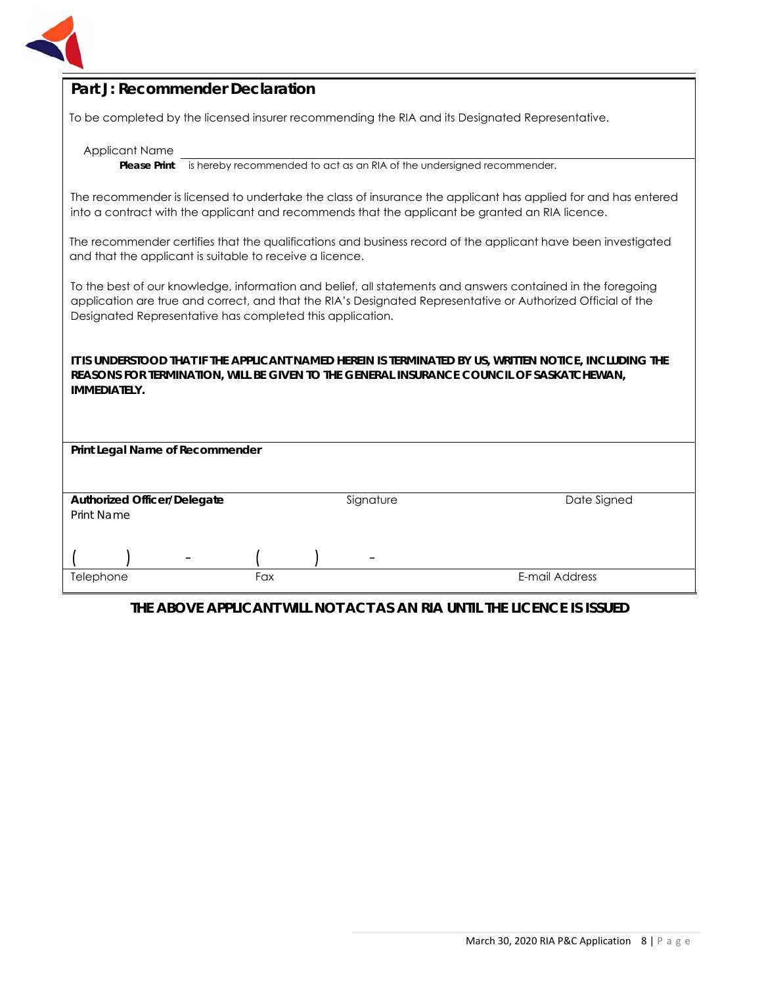

#### **Part J: Recommender Declaration**

To be completed by the licensed insurer recommending the RIA and its Designated Representative.

Applicant Name

**Please Print** is hereby recommended to act as an RIA of the undersigned recommender.

The recommender is licensed to undertake the class of insurance the applicant has applied for and has entered into a contract with the applicant and recommends that the applicant be granted an RIA licence.

The recommender certifies that the qualifications and business record of the applicant have been investigated and that the applicant is suitable to receive a licence.

To the best of our knowledge, information and belief, all statements and answers contained in the foregoing application are true and correct, and that the RIA's Designated Representative or Authorized Official of the Designated Representative has completed this application.

**IT IS UNDERSTOOD THAT IF THE APPLICANT NAMED HEREIN IS TERMINATED BY US, WRITTEN NOTICE, INCLUDING THE REASONS FOR TERMINATION, WILL BE GIVEN TO THE GENERAL INSURANCE COUNCIL OF SASKATCHEWAN, IMMEDIATELY.** 

| Print Legal Name of Recommender    |     |                          |                |
|------------------------------------|-----|--------------------------|----------------|
| <b>Authorized Officer/Delegate</b> |     | Signature                | Date Signed    |
| Print Name                         |     |                          |                |
|                                    |     |                          |                |
|                                    |     | $\overline{\phantom{a}}$ |                |
| Telephone                          | Fax |                          | E-mail Address |

#### **THE ABOVE APPLICANT WILL NOT ACT AS AN RIA UNTIL THE LICENCE IS ISSUED**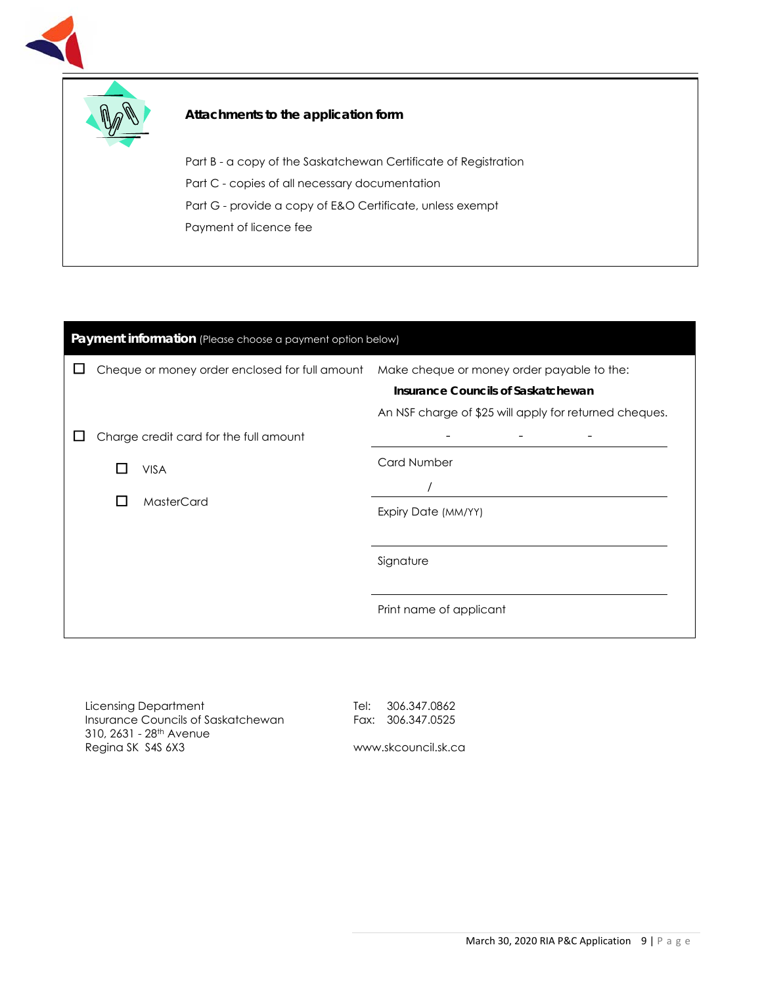



Part B - a copy of the Saskatchewan Certificate of Registration Part C - copies of all necessary documentation Part G - provide a copy of E&O Certificate, unless exempt Payment of licence fee

# Payment information (Please choose a payment option below)  $\Box$  Cheque or money order enclosed for full amount Make cheque or money order payable to the: **Insurance Councils of Saskatchewan** An NSF charge of \$25 will apply for returned cheques.  $\Box$  Charge credit card for the full amount □ VISA □ MasterCard - - - Card Number / Expiry Date (MM/YY) Signature Print name of applicant

Licensing Department Insurance Councils of Saskatchewan 310, 2631 - 28th Avenue Regina SK S4S 6X3

Tel: 306.347.0862 Fax: 306.347.0525

www.skcouncil.sk.ca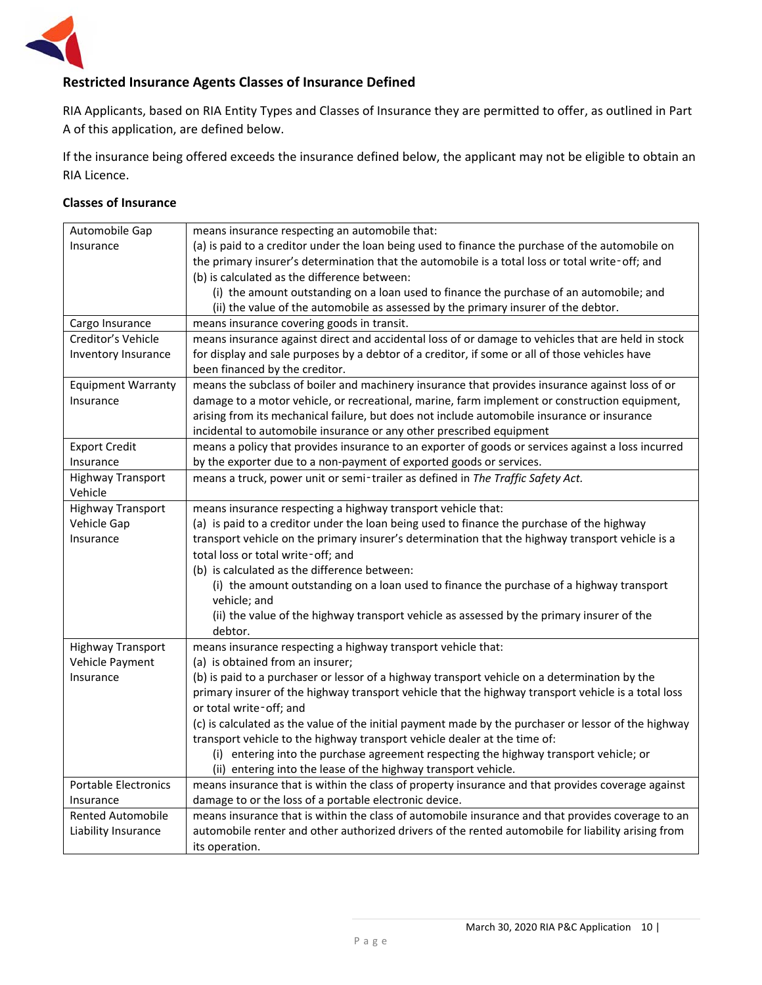

#### **Restricted Insurance Agents Classes of Insurance Defined**

RIA Applicants, based on RIA Entity Types and Classes of Insurance they are permitted to offer, as outlined in Part A of this application, are defined below.

If the insurance being offered exceeds the insurance defined below, the applicant may not be eligible to obtain an RIA Licence.

#### **Classes of Insurance**

| Automobile Gap                      | means insurance respecting an automobile that:                                                       |
|-------------------------------------|------------------------------------------------------------------------------------------------------|
| Insurance                           | (a) is paid to a creditor under the loan being used to finance the purchase of the automobile on     |
|                                     | the primary insurer's determination that the automobile is a total loss or total write-off; and      |
|                                     | (b) is calculated as the difference between:                                                         |
|                                     | (i) the amount outstanding on a loan used to finance the purchase of an automobile; and              |
|                                     | (ii) the value of the automobile as assessed by the primary insurer of the debtor.                   |
| Cargo Insurance                     | means insurance covering goods in transit.                                                           |
| Creditor's Vehicle                  | means insurance against direct and accidental loss of or damage to vehicles that are held in stock   |
| Inventory Insurance                 | for display and sale purposes by a debtor of a creditor, if some or all of those vehicles have       |
|                                     | been financed by the creditor.                                                                       |
| <b>Equipment Warranty</b>           | means the subclass of boiler and machinery insurance that provides insurance against loss of or      |
| Insurance                           | damage to a motor vehicle, or recreational, marine, farm implement or construction equipment,        |
|                                     | arising from its mechanical failure, but does not include automobile insurance or insurance          |
|                                     | incidental to automobile insurance or any other prescribed equipment                                 |
| <b>Export Credit</b>                | means a policy that provides insurance to an exporter of goods or services against a loss incurred   |
| Insurance                           | by the exporter due to a non-payment of exported goods or services.                                  |
| <b>Highway Transport</b><br>Vehicle | means a truck, power unit or semi-trailer as defined in The Traffic Safety Act.                      |
| <b>Highway Transport</b>            | means insurance respecting a highway transport vehicle that:                                         |
| Vehicle Gap                         | (a) is paid to a creditor under the loan being used to finance the purchase of the highway           |
| Insurance                           | transport vehicle on the primary insurer's determination that the highway transport vehicle is a     |
|                                     | total loss or total write-off; and                                                                   |
|                                     | (b) is calculated as the difference between:                                                         |
|                                     | (i) the amount outstanding on a loan used to finance the purchase of a highway transport             |
|                                     | vehicle; and                                                                                         |
|                                     | (ii) the value of the highway transport vehicle as assessed by the primary insurer of the            |
|                                     | debtor.                                                                                              |
| <b>Highway Transport</b>            | means insurance respecting a highway transport vehicle that:                                         |
| Vehicle Payment                     | (a) is obtained from an insurer;                                                                     |
| Insurance                           | (b) is paid to a purchaser or lessor of a highway transport vehicle on a determination by the        |
|                                     | primary insurer of the highway transport vehicle that the highway transport vehicle is a total loss  |
|                                     | or total write-off; and                                                                              |
|                                     | (c) is calculated as the value of the initial payment made by the purchaser or lessor of the highway |
|                                     | transport vehicle to the highway transport vehicle dealer at the time of:                            |
|                                     | (i) entering into the purchase agreement respecting the highway transport vehicle; or                |
|                                     | (ii) entering into the lease of the highway transport vehicle.                                       |
| <b>Portable Electronics</b>         | means insurance that is within the class of property insurance and that provides coverage against    |
| Insurance                           | damage to or the loss of a portable electronic device.                                               |
| <b>Rented Automobile</b>            | means insurance that is within the class of automobile insurance and that provides coverage to an    |
| Liability Insurance                 | automobile renter and other authorized drivers of the rented automobile for liability arising from   |
|                                     | its operation.                                                                                       |